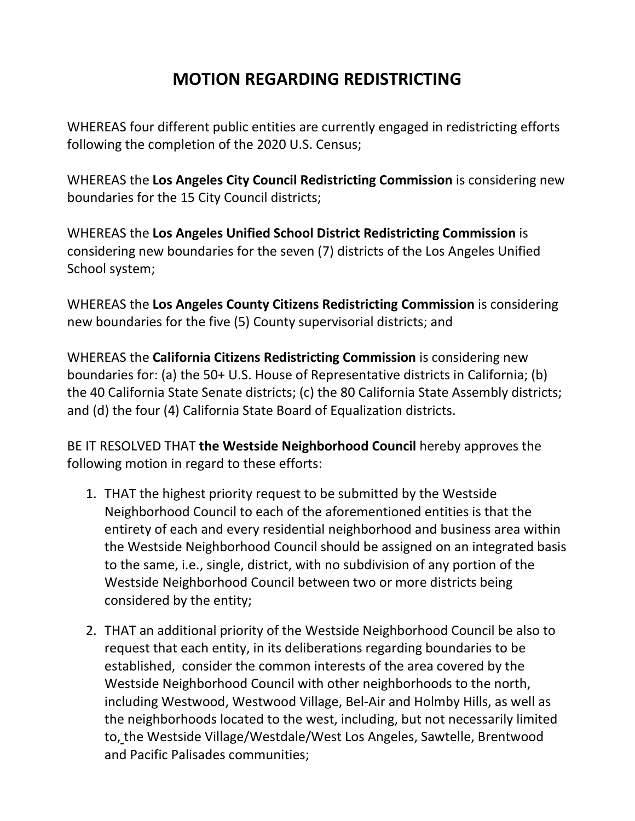## **MOTION REGARDING REDISTRICTING**

WHEREAS four different public entities are currently engaged in redistricting efforts following the completion of the 2020 U.S. Census;

WHEREAS the **Los Angeles City Council Redistricting Commission** is considering new boundaries for the 15 City Council districts;

WHEREAS the **Los Angeles Unified School District Redistricting Commission** is considering new boundaries for the seven (7) districts of the Los Angeles Unified School system;

WHEREAS the **Los Angeles County Citizens Redistricting Commission** is considering new boundaries for the five (5) County supervisorial districts; and

WHEREAS the **California Citizens Redistricting Commission** is considering new boundaries for: (a) the 50+ U.S. House of Representative districts in California; (b) the 40 California State Senate districts; (c) the 80 California State Assembly districts; and (d) the four (4) California State Board of Equalization districts.

BE IT RESOLVED THAT **the Westside Neighborhood Council** hereby approves the following motion in regard to these efforts:

- 1. THAT the highest priority request to be submitted by the Westside Neighborhood Council to each of the aforementioned entities is that the entirety of each and every residential neighborhood and business area within the Westside Neighborhood Council should be assigned on an integrated basis to the same, i.e., single, district, with no subdivision of any portion of the Westside Neighborhood Council between two or more districts being considered by the entity;
- 2. THAT an additional priority of the Westside Neighborhood Council be also to request that each entity, in its deliberations regarding boundaries to be established, consider the common interests of the area covered by the Westside Neighborhood Council with other neighborhoods to the north, including Westwood, Westwood Village, Bel-Air and Holmby Hills, as well as the neighborhoods located to the west, including, but not necessarily limited to, the Westside Village/Westdale/West Los Angeles, Sawtelle, Brentwood and Pacific Palisades communities;